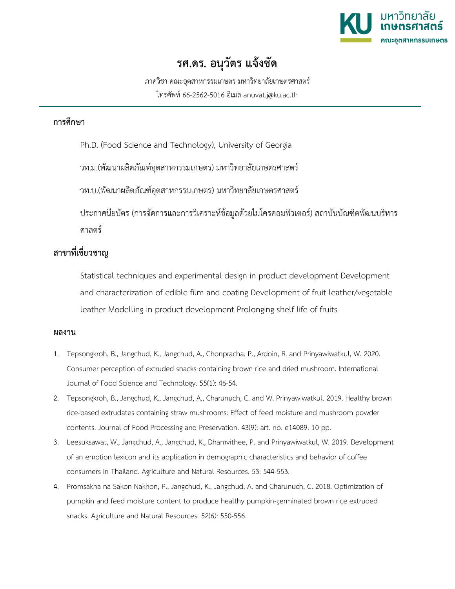

## **รศ.ดร. อนุวัตร แจงชัด**

ภาควิชา คณะอุตสาหกรรมเกษตร มหาวิทยาลัยเกษตรศาสตร โทรศัพท 66-2562-5016 อีเมล anuvat.j@ku.ac.th

## **การศึกษา**

Ph.D. (Food Science and Technology), University of Georgia

วท.ม.(พัฒนาผลิตภัณฑอุตสาหกรรมเกษตร) มหาวิทยาลัยเกษตรศาสตร

วท.บ.(พัฒนาผลิตภัณฑอุตสาหกรรมเกษตร) มหาวิทยาลัยเกษตรศาสตร

ประกาศนียบัตร (การจัดการและการวิเคราะหขอมูลดวยไมโครคอมพิวเตอร) สถาบันบัณฑิตพัฒนบริหาร ศาสตร

## **สาขาที่เชี่ยวชาญ**

Statistical techniques and experimental design in product development Development and characterization of edible film and coating Development of fruit leather/vegetable leather Modelling in product development Prolonging shelf life of fruits

## **ผลงาน**

- 1. Tepsongkroh, B., Jangchud, K., Jangchud, A., Chonpracha, P., Ardoin, R. and Prinyawiwatkul, W. 2020. Consumer perception of extruded snacks containing brown rice and dried mushroom. International Journal of Food Science and Technology. 55(1): 46-54.
- 2. Tepsongkroh, B., Jangchud, K., Jangchud, A., Charunuch, C. and W. Prinyawiwatkul. 2019. Healthy brown rice-based extrudates containing straw mushrooms: Effect of feed moisture and mushroom powder contents. Journal of Food Processing and Preservation. 43(9): art. no. e14089. 10 pp.
- 3. Leesuksawat, W., Jangchud, A., Jangchud, K., Dhamvithee, P. and Prinyawiwatkul, W. 2019. Development of an emotion lexicon and its application in demographic characteristics and behavior of coffee consumers in Thailand. Agriculture and Natural Resources. 53: 544-553.
- 4. Promsakha na Sakon Nakhon, P., Jangchud, K., Jangchud, A. and Charunuch, C. 2018. Optimization of pumpkin and feed moisture content to produce healthy pumpkin-germinated brown rice extruded snacks. Agriculture and Natural Resources. 52(6): 550-556.